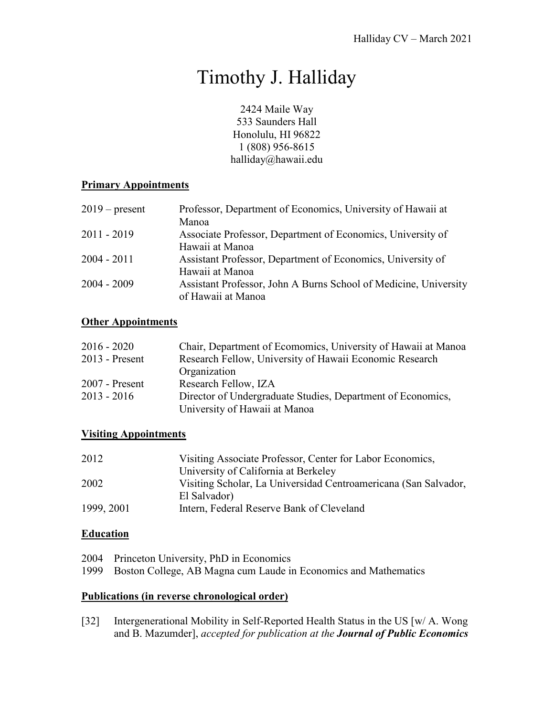# Timothy J. Halliday

2424 Maile Way 533 Saunders Hall Honolulu, HI 96822 1 (808) 956-8615 halliday@hawaii.edu

# **Primary Appointments**

| $2019$ – present | Professor, Department of Economics, University of Hawaii at      |
|------------------|------------------------------------------------------------------|
|                  | Manoa                                                            |
| $2011 - 2019$    | Associate Professor, Department of Economics, University of      |
|                  | Hawaii at Manoa                                                  |
| $2004 - 2011$    | Assistant Professor, Department of Economics, University of      |
|                  | Hawaii at Manoa                                                  |
| $2004 - 2009$    | Assistant Professor, John A Burns School of Medicine, University |
|                  | of Hawaii at Manoa                                               |

# **Other Appointments**

| $2016 - 2020$    | Chair, Department of Ecomomics, University of Hawaii at Manoa |
|------------------|---------------------------------------------------------------|
| $2013$ - Present | Research Fellow, University of Hawaii Economic Research       |
|                  | Organization                                                  |
| $2007$ - Present | Research Fellow, IZA                                          |
| $2013 - 2016$    | Director of Undergraduate Studies, Department of Economics,   |
|                  | University of Hawaii at Manoa                                 |

# **Visiting Appointments**

| 2012       | Visiting Associate Professor, Center for Labor Economics,       |
|------------|-----------------------------------------------------------------|
|            | University of California at Berkeley                            |
| 2002       | Visiting Scholar, La Universidad Centroamericana (San Salvador, |
|            | El Salvador)                                                    |
| 1999, 2001 | Intern, Federal Reserve Bank of Cleveland                       |

# **Education**

- 2004 Princeton University, PhD in Economics
- 1999 Boston College, AB Magna cum Laude in Economics and Mathematics

# **Publications (in reverse chronological order)**

[32] Intergenerational Mobility in Self-Reported Health Status in the US [w/ A. Wong and B. Mazumder], *accepted for publication at the Journal of Public Economics*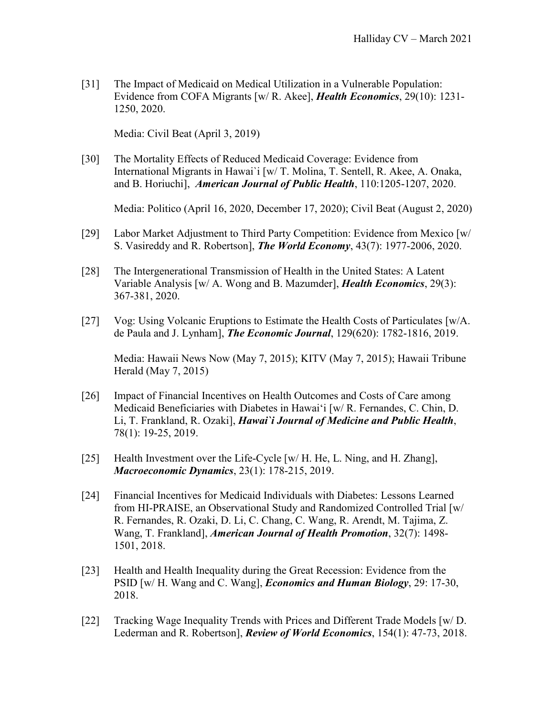[31] The Impact of Medicaid on Medical Utilization in a Vulnerable Population: Evidence from COFA Migrants [w/ R. Akee], *Health Economics*, 29(10): 1231- 1250, 2020.

Media: Civil Beat (April 3, 2019)

[30] The Mortality Effects of Reduced Medicaid Coverage: Evidence from International Migrants in Hawai`i [w/ T. Molina, T. Sentell, R. Akee, A. Onaka, and B. Horiuchi], *American Journal of Public Health*, 110:1205-1207, 2020.

Media: Politico (April 16, 2020, December 17, 2020); Civil Beat (August 2, 2020)

- [29] Labor Market Adjustment to Third Party Competition: Evidence from Mexico [w/ S. Vasireddy and R. Robertson], *The World Economy*, 43(7): 1977-2006, 2020.
- [28] The Intergenerational Transmission of Health in the United States: A Latent Variable Analysis [w/ A. Wong and B. Mazumder], *Health Economics*, 29(3): 367-381, 2020.
- [27] Vog: Using Volcanic Eruptions to Estimate the Health Costs of Particulates [w/A. de Paula and J. Lynham], *The Economic Journal*, 129(620): 1782-1816, 2019.

Media: Hawaii News Now (May 7, 2015); KITV (May 7, 2015); Hawaii Tribune Herald (May 7, 2015)

- [26] Impact of Financial Incentives on Health Outcomes and Costs of Care among Medicaid Beneficiaries with Diabetes in Hawai'i [w/ R. Fernandes, C. Chin, D. Li, T. Frankland, R. Ozaki], *Hawai`i Journal of Medicine and Public Health*, 78(1): 19-25, 2019.
- [25] Health Investment over the Life-Cycle [w/ H. He, L. Ning, and H. Zhang], *Macroeconomic Dynamics*, 23(1): 178-215, 2019.
- [24] Financial Incentives for Medicaid Individuals with Diabetes: Lessons Learned from HI-PRAISE, an Observational Study and Randomized Controlled Trial [w/ R. Fernandes, R. Ozaki, D. Li, C. Chang, C. Wang, R. Arendt, M. Tajima, Z. Wang, T. Frankland], *American Journal of Health Promotion*, 32(7): 1498- 1501, 2018.
- [23] Health and Health Inequality during the Great Recession: Evidence from the PSID [w/ H. Wang and C. Wang], *Economics and Human Biology*, 29: 17-30, 2018.
- [22] Tracking Wage Inequality Trends with Prices and Different Trade Models [w/ D. Lederman and R. Robertson], *Review of World Economics*, 154(1): 47-73, 2018.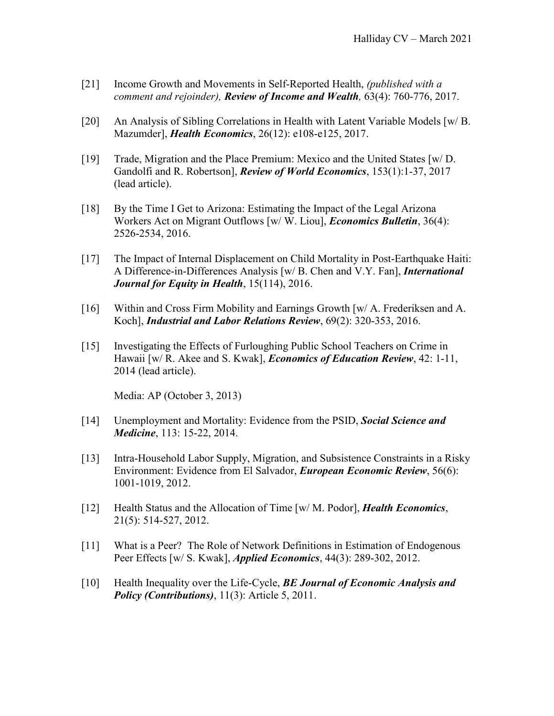- [21] Income Growth and Movements in Self-Reported Health, *(published with a comment and rejoinder), Review of Income and Wealth,* 63(4): 760-776, 2017.
- [20] An Analysis of Sibling Correlations in Health with Latent Variable Models [w/ B. Mazumder], *Health Economics*, 26(12): e108-e125, 2017.
- [19] Trade, Migration and the Place Premium: Mexico and the United States [w/ D. Gandolfi and R. Robertson], *Review of World Economics*, 153(1):1-37, 2017 (lead article).
- [18] By the Time I Get to Arizona: Estimating the Impact of the Legal Arizona Workers Act on Migrant Outflows [w/ W. Liou], *Economics Bulletin*, 36(4): 2526-2534, 2016.
- [17] The Impact of Internal Displacement on Child Mortality in Post-Earthquake Haiti: A Difference-in-Differences Analysis [w/ B. Chen and V.Y. Fan], *International Journal for Equity in Health*, 15(114), 2016.
- [16] Within and Cross Firm Mobility and Earnings Growth [w/ A. Frederiksen and A. Koch], *Industrial and Labor Relations Review*, 69(2): 320-353, 2016.
- [15] Investigating the Effects of Furloughing Public School Teachers on Crime in Hawaii [w/ R. Akee and S. Kwak], *Economics of Education Review*, 42: 1-11, 2014 (lead article).

Media: AP (October 3, 2013)

- [14] Unemployment and Mortality: Evidence from the PSID, *Social Science and Medicine*, 113: 15-22, 2014.
- [13] Intra-Household Labor Supply, Migration, and Subsistence Constraints in a Risky Environment: Evidence from El Salvador, *European Economic Review*, 56(6): 1001-1019, 2012.
- [12] Health Status and the Allocation of Time [w/ M. Podor], *Health Economics*, 21(5): 514-527, 2012.
- [11] What is a Peer? The Role of Network Definitions in Estimation of Endogenous Peer Effects [w/ S. Kwak], *Applied Economics*, 44(3): 289-302, 2012.
- [10] Health Inequality over the Life-Cycle, *BE Journal of Economic Analysis and Policy (Contributions)*, 11(3): Article 5, 2011.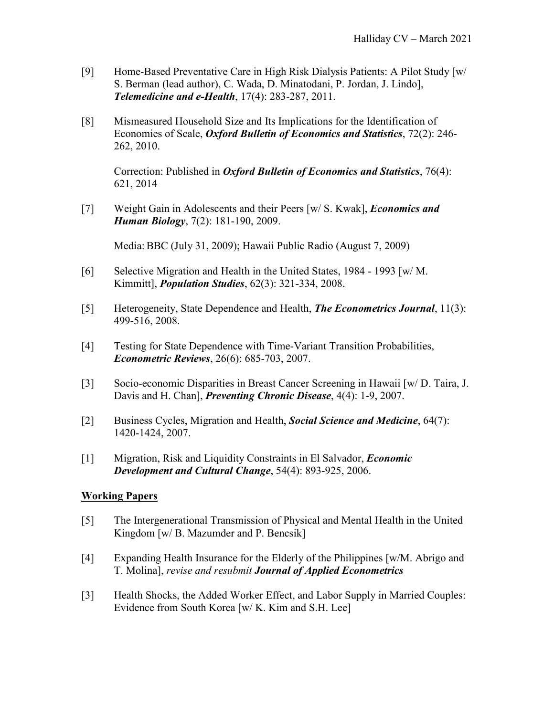- [9] Home-Based Preventative Care in High Risk Dialysis Patients: A Pilot Study [w/ S. Berman (lead author), C. Wada, D. Minatodani, P. Jordan, J. Lindo], *Telemedicine and e-Health*, 17(4): 283-287, 2011.
- [8] Mismeasured Household Size and Its Implications for the Identification of Economies of Scale, *Oxford Bulletin of Economics and Statistics*, 72(2): 246- 262, 2010.

Correction: Published in *Oxford Bulletin of Economics and Statistics*, 76(4): 621, 2014

[7] Weight Gain in Adolescents and their Peers [w/ S. Kwak], *Economics and Human Biology*, 7(2): 181-190, 2009.

Media: BBC (July 31, 2009); Hawaii Public Radio (August 7, 2009)

- [6] Selective Migration and Health in the United States, 1984 1993 [w/ M. Kimmitt], *Population Studies*, 62(3): 321-334, 2008.
- [5] Heterogeneity, State Dependence and Health, *The Econometrics Journal*, 11(3): 499-516, 2008.
- [4] Testing for State Dependence with Time-Variant Transition Probabilities, *Econometric Reviews*, 26(6): 685-703, 2007.
- [3] Socio-economic Disparities in Breast Cancer Screening in Hawaii [w/ D. Taira, J. Davis and H. Chan], *Preventing Chronic Disease*, 4(4): 1-9, 2007.
- [2] Business Cycles, Migration and Health, *Social Science and Medicine*, 64(7): 1420-1424, 2007.
- [1] Migration, Risk and Liquidity Constraints in El Salvador, *Economic Development and Cultural Change*, 54(4): 893-925, 2006.

# **Working Papers**

- [5] The Intergenerational Transmission of Physical and Mental Health in the United Kingdom [w/ B. Mazumder and P. Bencsik]
- [4] Expanding Health Insurance for the Elderly of the Philippines [w/M. Abrigo and T. Molina], *revise and resubmit Journal of Applied Econometrics*
- [3] Health Shocks, the Added Worker Effect, and Labor Supply in Married Couples: Evidence from South Korea [w/ K. Kim and S.H. Lee]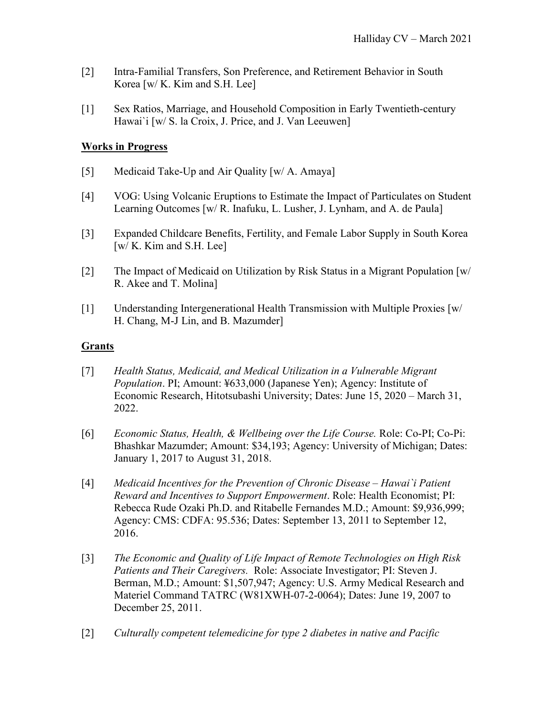- [2] Intra-Familial Transfers, Son Preference, and Retirement Behavior in South Korea [w/ K. Kim and S.H. Lee]
- [1] Sex Ratios, Marriage, and Household Composition in Early Twentieth-century Hawai`i [w/ S. la Croix, J. Price, and J. Van Leeuwen]

# **Works in Progress**

- [5] Medicaid Take-Up and Air Quality [w/ A. Amaya]
- [4] VOG: Using Volcanic Eruptions to Estimate the Impact of Particulates on Student Learning Outcomes [w/ R. Inafuku, L. Lusher, J. Lynham, and A. de Paula]
- [3] Expanded Childcare Benefits, Fertility, and Female Labor Supply in South Korea [w/ K. Kim and S.H. Lee]
- [2] The Impact of Medicaid on Utilization by Risk Status in a Migrant Population [w/ R. Akee and T. Molina]
- [1] Understanding Intergenerational Health Transmission with Multiple Proxies [w/ H. Chang, M-J Lin, and B. Mazumder]

#### **Grants**

- [7] *Health Status, Medicaid, and Medical Utilization in a Vulnerable Migrant Population*. PI; Amount: ¥633,000 (Japanese Yen); Agency: Institute of Economic Research, Hitotsubashi University; Dates: June 15, 2020 – March 31, 2022.
- [6] *Economic Status, Health, & Wellbeing over the Life Course.* Role: Co-PI; Co-Pi: Bhashkar Mazumder; Amount: \$34,193; Agency: University of Michigan; Dates: January 1, 2017 to August 31, 2018.
- [4] *Medicaid Incentives for the Prevention of Chronic Disease – Hawai`i Patient Reward and Incentives to Support Empowerment*. Role: Health Economist; PI: Rebecca Rude Ozaki Ph.D. and Ritabelle Fernandes M.D.; Amount: \$9,936,999; Agency: CMS: CDFA: 95.536; Dates: September 13, 2011 to September 12, 2016.
- [3] *The Economic and Quality of Life Impact of Remote Technologies on High Risk Patients and Their Caregivers.* Role: Associate Investigator; PI: Steven J. Berman, M.D.; Amount: \$1,507,947; Agency: U.S. Army Medical Research and Materiel Command TATRC (W81XWH-07-2-0064); Dates: June 19, 2007 to December 25, 2011.
- [2] *Culturally competent telemedicine for type 2 diabetes in native and Pacific*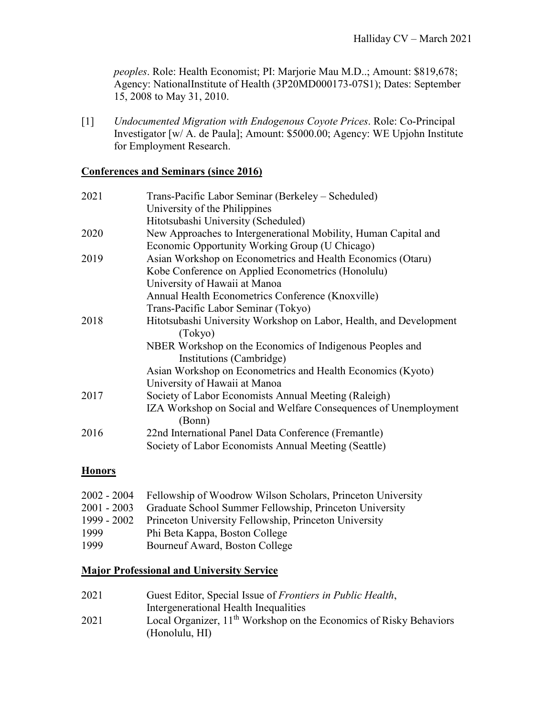*peoples*. Role: Health Economist; PI: Marjorie Mau M.D..; Amount: \$819,678; Agency: NationalInstitute of Health (3P20MD000173-07S1); Dates: September 15, 2008 to May 31, 2010.

[1] *Undocumented Migration with Endogenous Coyote Prices*. Role: Co-Principal Investigator [w/ A. de Paula]; Amount: \$5000.00; Agency: WE Upjohn Institute for Employment Research.

#### **Conferences and Seminars (since 2016)**

| 2021 | Trans-Pacific Labor Seminar (Berkeley – Scheduled)                 |
|------|--------------------------------------------------------------------|
|      | University of the Philippines                                      |
|      | Hitotsubashi University (Scheduled)                                |
| 2020 | New Approaches to Intergenerational Mobility, Human Capital and    |
|      | Economic Opportunity Working Group (U Chicago)                     |
| 2019 | Asian Workshop on Econometrics and Health Economics (Otaru)        |
|      | Kobe Conference on Applied Econometrics (Honolulu)                 |
|      | University of Hawaii at Manoa                                      |
|      | Annual Health Econometrics Conference (Knoxville)                  |
|      | Trans-Pacific Labor Seminar (Tokyo)                                |
| 2018 | Hitotsubashi University Workshop on Labor, Health, and Development |
|      | (Tokyo)                                                            |
|      | NBER Workshop on the Economics of Indigenous Peoples and           |
|      | Institutions (Cambridge)                                           |
|      | Asian Workshop on Econometrics and Health Economics (Kyoto)        |
|      | University of Hawaii at Manoa                                      |
| 2017 | Society of Labor Economists Annual Meeting (Raleigh)               |
|      | IZA Workshop on Social and Welfare Consequences of Unemployment    |
|      | (Bonn)                                                             |
| 2016 | 22nd International Panel Data Conference (Fremantle)               |
|      | Society of Labor Economists Annual Meeting (Seattle)               |

# **Honors**

|             | 2002 - 2004 Fellowship of Woodrow Wilson Scholars, Princeton University |
|-------------|-------------------------------------------------------------------------|
| 2001 - 2003 | Graduate School Summer Fellowship, Princeton University                 |
| 1999 - 2002 | Princeton University Fellowship, Princeton University                   |
| 1999        | Phi Beta Kappa, Boston College                                          |
| 1999        | Bourneuf Award, Boston College                                          |
|             |                                                                         |

# **Major Professional and University Service**

| 2021 | Guest Editor, Special Issue of Frontiers in Public Health,                     |
|------|--------------------------------------------------------------------------------|
|      | Intergenerational Health Inequalities                                          |
| 2021 | Local Organizer, 11 <sup>th</sup> Workshop on the Economics of Risky Behaviors |
|      | (Honolulu, HI)                                                                 |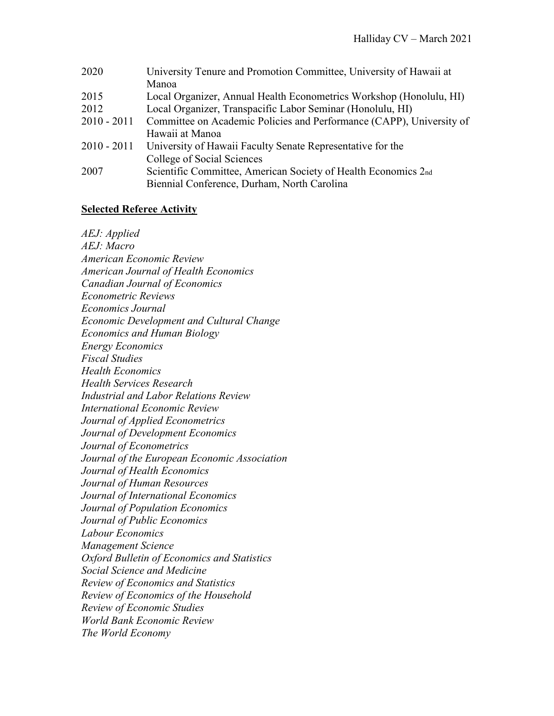| 2020          | University Tenure and Promotion Committee, University of Hawaii at   |  |
|---------------|----------------------------------------------------------------------|--|
|               | Manoa                                                                |  |
| 2015          | Local Organizer, Annual Health Econometrics Workshop (Honolulu, HI)  |  |
| 2012          | Local Organizer, Transpacific Labor Seminar (Honolulu, HI)           |  |
| $2010 - 2011$ | Committee on Academic Policies and Performance (CAPP), University of |  |
|               | Hawaii at Manoa                                                      |  |
| $2010 - 2011$ | University of Hawaii Faculty Senate Representative for the           |  |
|               | College of Social Sciences                                           |  |
| 2007          | Scientific Committee, American Society of Health Economics 2nd       |  |
|               | Biennial Conference, Durham, North Carolina                          |  |

# **Selected Referee Activity**

*AEJ: Applied AEJ: Macro American Economic Review American Journal of Health Economics Canadian Journal of Economics Econometric Reviews Economics Journal Economic Development and Cultural Change Economics and Human Biology Energy Economics Fiscal Studies Health Economics Health Services Research Industrial and Labor Relations Review International Economic Review Journal of Applied Econometrics Journal of Development Economics Journal of Econometrics Journal of the European Economic Association Journal of Health Economics Journal of Human Resources Journal of International Economics Journal of Population Economics Journal of Public Economics Labour Economics Management Science Oxford Bulletin of Economics and Statistics Social Science and Medicine Review of Economics and Statistics Review of Economics of the Household Review of Economic Studies World Bank Economic Review The World Economy*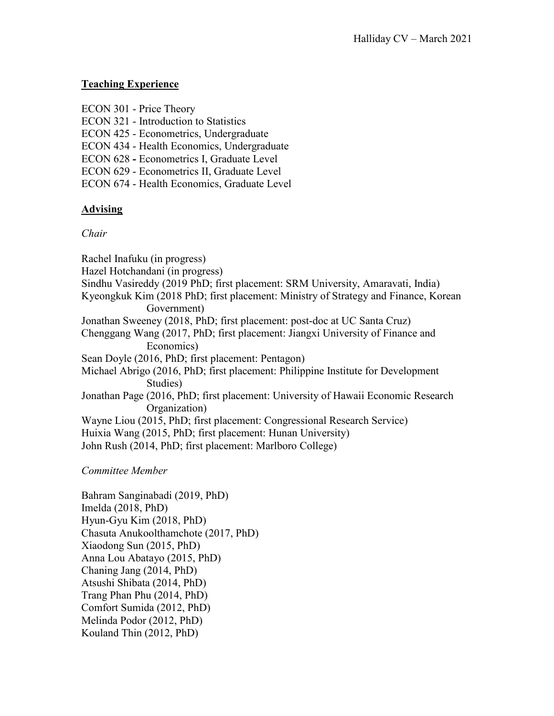### **Teaching Experience**

|  | ECON 301 - Price Theory |
|--|-------------------------|
|--|-------------------------|

- ECON 321 Introduction to Statistics
- ECON 425 Econometrics, Undergraduate
- ECON 434 Health Economics, Undergraduate
- ECON 628 **-** Econometrics I, Graduate Level
- ECON 629 Econometrics II, Graduate Level
- ECON 674 Health Economics, Graduate Level

# **Advising**

#### *Chair*

Rachel Inafuku (in progress) Hazel Hotchandani (in progress) Sindhu Vasireddy (2019 PhD; first placement: SRM University, Amaravati, India) Kyeongkuk Kim (2018 PhD; first placement: Ministry of Strategy and Finance, Korean Government) Jonathan Sweeney (2018, PhD; first placement: post-doc at UC Santa Cruz) Chenggang Wang (2017, PhD; first placement: Jiangxi University of Finance and Economics) Sean Doyle (2016, PhD; first placement: Pentagon) Michael Abrigo (2016, PhD; first placement: Philippine Institute for Development Studies) Jonathan Page (2016, PhD; first placement: University of Hawaii Economic Research Organization) Wayne Liou (2015, PhD; first placement: Congressional Research Service) Huixia Wang (2015, PhD; first placement: Hunan University) John Rush (2014, PhD; first placement: Marlboro College)

*Committee Member*

Bahram Sanginabadi (2019, PhD) Imelda (2018, PhD) Hyun-Gyu Kim (2018, PhD) Chasuta Anukoolthamchote (2017, PhD) Xiaodong Sun (2015, PhD) Anna Lou Abatayo (2015, PhD) Chaning Jang (2014, PhD) Atsushi Shibata (2014, PhD) Trang Phan Phu (2014, PhD) Comfort Sumida (2012, PhD) Melinda Podor (2012, PhD) Kouland Thin (2012, PhD)